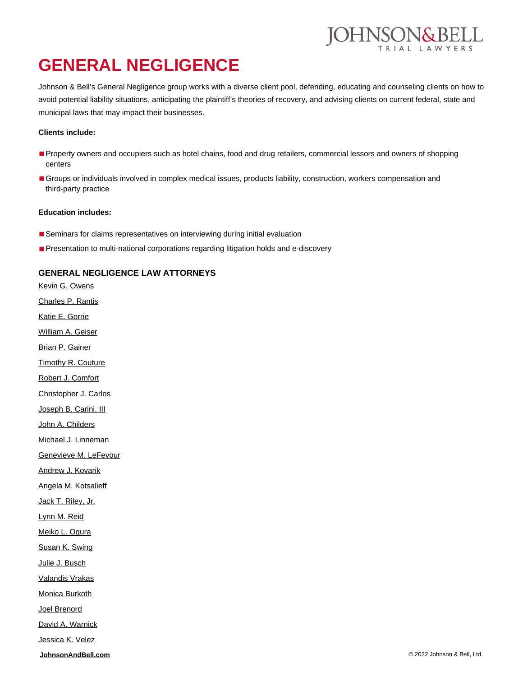# **GENERAL NEGLIGENCE**

Johnson & Bell's General Negligence group works with a diverse client pool, defending, educating and counseling clients on how to avoid potential liability situations, anticipating the plaintiff's theories of recovery, and advising clients on current federal, state and municipal laws that may impact their businesses.

#### **Clients include:**

- Property owners and occupiers such as hotel chains, food and drug retailers, commercial lessors and owners of shopping centers
- Groups or individuals involved in complex medical issues, products liability, construction, workers compensation and third-party practice

#### **Education includes:**

- Seminars for claims representatives on interviewing during initial evaluation
- Presentation to multi-national corporations regarding litigation holds and e-discovery

#### **GENERAL NEGLIGENCE LAW ATTORNEYS**

**[JohnsonAndBell.com](https://johnsonandbell.com/)** © 2022 Johnson & Bell, Ltd. [Kevin G. Owens](https://johnsonandbell.com/attorneys/kevin-g-owens/) [Charles P. Rantis](https://johnsonandbell.com/attorneys/charles-p-rantis/) [Katie E. Gorrie](https://johnsonandbell.com/attorneys/katie-e-gorrie/) [William A. Geiser](https://johnsonandbell.com/attorneys/william-a-geiser/) [Brian P. Gainer](https://johnsonandbell.com/attorneys/brian-p-gainer/) [Timothy R. Couture](https://johnsonandbell.com/attorneys/timothy-r-couture/) [Robert J. Comfort](https://johnsonandbell.com/attorneys/robert-j-comfort/) [Christopher J. Carlos](https://johnsonandbell.com/attorneys/christopher-j-carlos/) [Joseph B. Carini, III](https://johnsonandbell.com/attorneys/joseph-b-carini-iii/) [John A. Childers](https://johnsonandbell.com/attorneys/john-a-childers/) [Michael J. Linneman](https://johnsonandbell.com/attorneys/michael-j-linneman/) [Genevieve M. LeFevour](https://johnsonandbell.com/attorneys/genevieve-m-lefevour/) **[Andrew J. Kovarik](https://johnsonandbell.com/attorneys/andrew-j-kovarik/)** [Angela M. Kotsalieff](https://johnsonandbell.com/attorneys/angela-m-kotsalieff/) [Jack T. Riley, Jr.](https://johnsonandbell.com/attorneys/jack-t-riley-jr/) [Lynn M. Reid](https://johnsonandbell.com/attorneys/lynn-m-reid/) [Meiko L. Ogura](https://johnsonandbell.com/attorneys/meiko-l-ogura/) [Susan K. Swing](https://johnsonandbell.com/attorneys/susan-k-swing/) [Julie J. Busch](https://johnsonandbell.com/attorneys/julie-j-busch/) [Valandis Vrakas](https://johnsonandbell.com/attorneys/valandis-vrakas/) [Monica Burkoth](https://johnsonandbell.com/attorneys/monica-burkoth/) [Joel Brenord](https://johnsonandbell.com/attorneys/joel-brenord/) [David A. Warnick](https://johnsonandbell.com/attorneys/david-a-warnick/) [Jessica K. Velez](https://johnsonandbell.com/attorneys/jessica-k-velez/)

DHNSON&BELL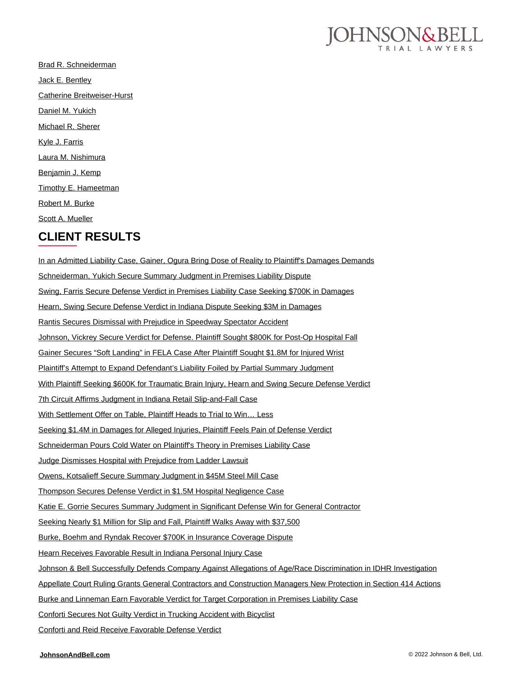

[Brad R. Schneiderman](https://johnsonandbell.com/attorneys/brad-r-schneiderman/) [Jack E. Bentley](https://johnsonandbell.com/attorneys/jack-e-bentley/) [Catherine Breitweiser-Hurst](https://johnsonandbell.com/attorneys/catherine-breitweiser-hurst/) [Daniel M. Yukich](https://johnsonandbell.com/attorneys/daniel-m-yukich/) [Michael R. Sherer](https://johnsonandbell.com/attorneys/michael-r-sherer/) [Kyle J. Farris](https://johnsonandbell.com/attorneys/kyle-j-farris/) [Laura M. Nishimura](https://johnsonandbell.com/attorneys/laura-m-nishimura/) [Benjamin J. Kemp](https://johnsonandbell.com/attorneys/benjamin-j-kemp/) [Timothy E. Hameetman](https://johnsonandbell.com/attorneys/timothy-e-hameetman/) [Robert M. Burke](https://johnsonandbell.com/attorneys/robert-m-burke/) [Scott A. Mueller](https://johnsonandbell.com/attorneys/scott-a-mueller/)

### **CLIENT RESULTS**

[In an Admitted Liability Case, Gainer, Ogura Bring Dose of Reality to Plaintiff's Damages Demands](https://johnsonandbell.com/gainer-ogura-keep-lid-on-plaintiffs-damages-demands/) [Schneiderman, Yukich Secure Summary Judgment in Premises Liability Dispute](https://johnsonandbell.com/schneiderman-yukich-summary-judgment-premises-liablity/) [Swing, Farris Secure Defense Verdict in Premises Liability Case Seeking \\$700K in Damages](https://johnsonandbell.com/swing-farris-secure-defense-verdict-indiana/) [Hearn, Swing Secure Defense Verdict in Indiana Dispute Seeking \\$3M in Damages](https://johnsonandbell.com/hearn-swing-secure-defense-verdict-in-3m-dispute/) [Rantis Secures Dismissal with Prejudice in Speedway Spectator Accident](https://johnsonandbell.com/rantis-terry-secure-dismissal-with-prejudice-in-speedway-spectator-accident/) [Johnson, Vickrey Secure Verdict for Defense. Plaintiff Sought \\$800K for Post-Op Hospital Fall](https://johnsonandbell.com/johnson-vickrey-secure-verdict-for-defense-plaintiff-sought-800k-for-post-op-hospital-fall/) [Gainer Secures "Soft Landing" in FELA Case After Plaintiff Sought \\$1.8M for Injured Wrist](https://johnsonandbell.com/gainer-secures-soft-landing-in-fela-case-after-plaintiff-sought-1-8m-for-injured-wrist/) [Plaintiff's Attempt to Expand Defendant's Liability Foiled by Partial Summary Judgment](https://johnsonandbell.com/plaintiffs-attempt-to-expand-defendants-liability-foiled-by-partial-summary-judgment/) [With Plaintiff Seeking \\$600K for Traumatic Brain Injury, Hearn and Swing Secure Defense Verdict](https://johnsonandbell.com/with-plaintiff-seeking-600k-for-traumatic-brain-injury-hearn-and-swing-secure-defense-verdict/) [7th Circuit Affirms Judgment in Indiana Retail Slip-and-Fall Case](https://johnsonandbell.com/7th-circuit-affirms-judgment-in-retail-slip-and-fall-case/) With Settlement Offer on Table, Plaintiff Heads to Trial to Win... Less [Seeking \\$1.4M in Damages for Alleged Injuries, Plaintiff Feels Pain of Defense Verdict](https://johnsonandbell.com/seeking-1-4m-damages-alleged-injuries-plaintiff-feels-pain-defense-verdict/) [Schneiderman Pours Cold Water on Plaintiff's Theory in Premises Liability Case](https://johnsonandbell.com/schneiderman-pours-cold-water-plaintiff-theory-premises-liability-case/) [Judge Dismisses Hospital with Prejudice from Ladder Lawsuit](https://johnsonandbell.com/judge-dismisses-hospital-prejudice-ladder-lawsuit/) [Owens, Kotsalieff Secure Summary Judgment in \\$45M Steel Mill Case](https://johnsonandbell.com/owens-kotsalieff-secure-summary-judgment-45-million-case/) [Thompson Secures Defense Verdict in \\$1.5M Hospital Negligence Case](https://johnsonandbell.com/thompson-secure-defense-verdict-1-5m-hospital-negligence-case/) [Katie E. Gorrie Secures Summary Judgment in Significant Defense Win for General Contractor](https://johnsonandbell.com/katie-e-gorrie-secures-summary-judgment-in-substantial-defense-win-for-general-contractor/) [Seeking Nearly \\$1 Million for Slip and Fall, Plaintiff Walks Away with \\$37,500](https://johnsonandbell.com/seeking-nearly-1-million-for-fall-plaintiff-walks-away-with-37500/) [Burke, Boehm and Ryndak Recover \\$700K in Insurance Coverage Dispute](https://johnsonandbell.com/burke-boehm-and-ryndak-recover-700k-in-insurance-coverage-dispute/) [Hearn Receives Favorable Result in Indiana Personal Injury Case](https://johnsonandbell.com/hearn-indiana-personal-injury-case/) [Johnson & Bell Successfully Defends Company Against Allegations of Age/Race Discrimination in IDHR Investigation](https://johnsonandbell.com/johnson-bell-successfully-defends-company-allegations-agerace-discrimination-idhr-investigation/) [Appellate Court Ruling Grants General Contractors and Construction Managers New Protection in Section 414 Actions](https://johnsonandbell.com/appellate-court-ruling-grants-general-contractors-construction-managers-new-protection-section-414-actions/) [Burke and Linneman Earn Favorable Verdict for Target Corporation in Premises Liability Case](https://johnsonandbell.com/burke-linneman-earn-favorable-verdict-target-corporation-premises-liability-case/) [Conforti Secures Not Guilty Verdict in Trucking Accident with Bicyclist](https://johnsonandbell.com/johnson-bell-ltd-receives-not-guilty-verdict-in-trucking-accident/) [Conforti and Reid Receive Favorable Defense Verdict](https://johnsonandbell.com/conforti-and-reid-receive-favorable-defense-verdict/)